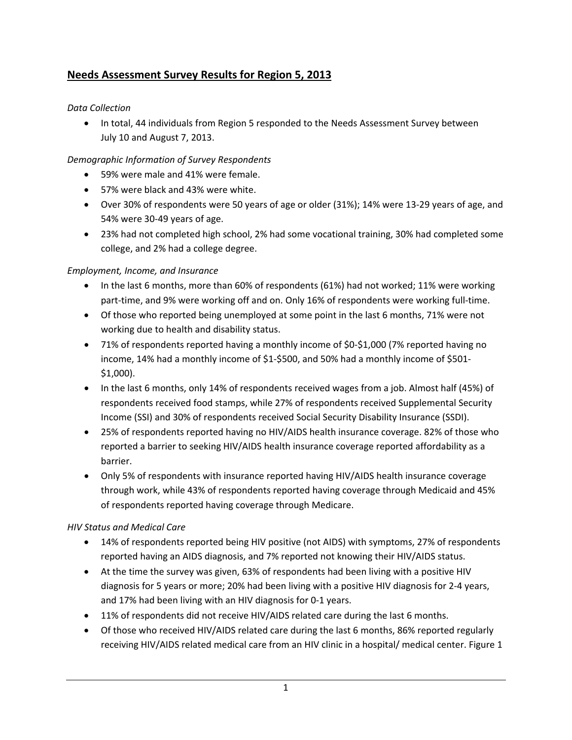# **Needs Assessment Survey Results for Region 5, 2013**

## *Data Collection*

• In total, 44 individuals from Region 5 responded to the Needs Assessment Survey between July 10 and August 7, 2013.

## *Demographic Information of Survey Respondents*

- 59% were male and 41% were female.
- 57% were black and 43% were white.
- Over 30% of respondents were 50 years of age or older (31%); 14% were 13‐29 years of age, and 54% were 30‐49 years of age.
- 23% had not completed high school, 2% had some vocational training, 30% had completed some college, and 2% had a college degree.

## *Employment, Income, and Insurance*

- In the last 6 months, more than 60% of respondents (61%) had not worked; 11% were working part-time, and 9% were working off and on. Only 16% of respondents were working full-time.
- Of those who reported being unemployed at some point in the last 6 months, 71% were not working due to health and disability status.
- 71% of respondents reported having a monthly income of \$0‐\$1,000 (7% reported having no income, 14% had a monthly income of \$1-\$500, and 50% had a monthly income of \$501-\$1,000).
- In the last 6 months, only 14% of respondents received wages from a job. Almost half (45%) of respondents received food stamps, while 27% of respondents received Supplemental Security Income (SSI) and 30% of respondents received Social Security Disability Insurance (SSDI).
- 25% of respondents reported having no HIV/AIDS health insurance coverage. 82% of those who reported a barrier to seeking HIV/AIDS health insurance coverage reported affordability as a barrier.
- Only 5% of respondents with insurance reported having HIV/AIDS health insurance coverage through work, while 43% of respondents reported having coverage through Medicaid and 45% of respondents reported having coverage through Medicare.

### *HIV Status and Medical Care*

- 14% of respondents reported being HIV positive (not AIDS) with symptoms, 27% of respondents reported having an AIDS diagnosis, and 7% reported not knowing their HIV/AIDS status.
- At the time the survey was given, 63% of respondents had been living with a positive HIV diagnosis for 5 years or more; 20% had been living with a positive HIV diagnosis for 2‐4 years, and 17% had been living with an HIV diagnosis for 0‐1 years.
- 11% of respondents did not receive HIV/AIDS related care during the last 6 months.
- Of those who received HIV/AIDS related care during the last 6 months, 86% reported regularly receiving HIV/AIDS related medical care from an HIV clinic in a hospital/ medical center. Figure 1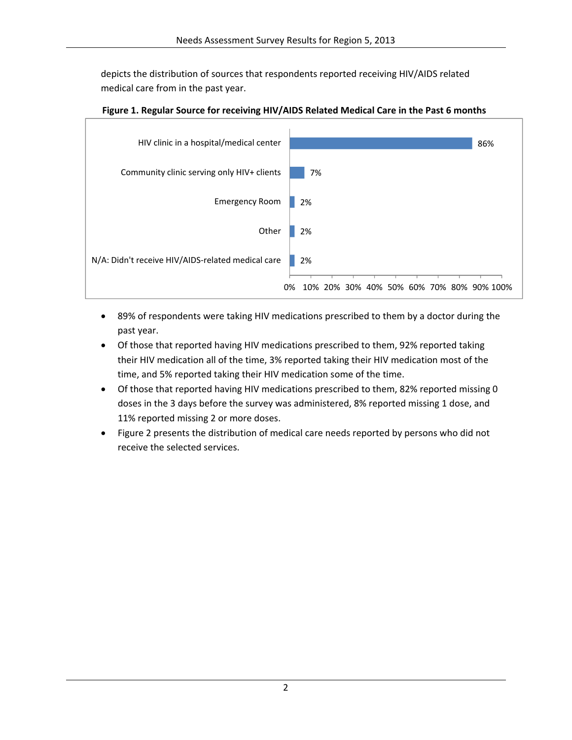depicts the distribution of sources that respondents reported receiving HIV/AIDS related medical care from in the past year.



#### **Figure 1. Regular Source for receiving HIV/AIDS Related Medical Care in the Past 6 months**

- 89% of respondents were taking HIV medications prescribed to them by a doctor during the past year.
- Of those that reported having HIV medications prescribed to them, 92% reported taking their HIV medication all of the time, 3% reported taking their HIV medication most of the time, and 5% reported taking their HIV medication some of the time.
- Of those that reported having HIV medications prescribed to them, 82% reported missing 0 doses in the 3 days before the survey was administered, 8% reported missing 1 dose, and 11% reported missing 2 or more doses.
- Figure 2 presents the distribution of medical care needs reported by persons who did not receive the selected services.